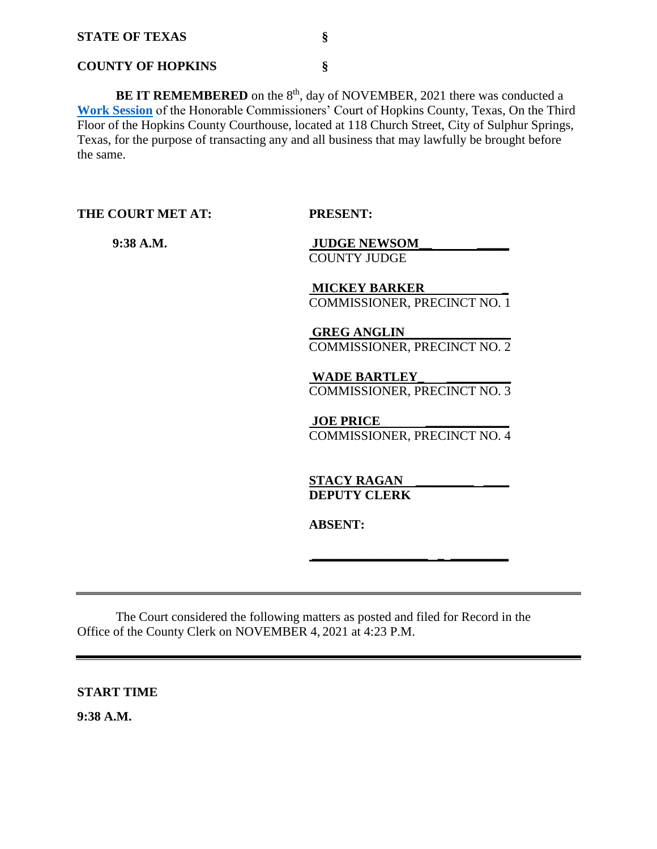#### **COUNTY OF HOPKINS §**

**BE IT REMEMBERED** on the 8<sup>th</sup>, day of NOVEMBER, 2021 there was conducted a **[Work Session](Links%202021-11-08-Work/AGENDA_3.pdf)** of the Honorable Commissioners' Court of Hopkins County, Texas, On the Third Floor of the Hopkins County Courthouse, located at 118 Church Street, City of Sulphur Springs, Texas, for the purpose of transacting any and all business that may lawfully be brought before the same.

**THE COURT MET AT: PRESENT:**

 **9:38 A.M. JUDGE NEWSOM\_\_ \_\_\_\_\_** COUNTY JUDGE

> **MICKEY BARKER \_**  COMMISSIONER, PRECINCT NO. 1

> **GREG ANGLIN**  COMMISSIONER, PRECINCT NO. 2

> **WADE BARTLEY\_ \_\_\_\_\_\_\_\_\_\_** COMMISSIONER, PRECINCT NO. 3

**JOE PRICE** COMMISSIONER, PRECINCT NO. 4

**\_\_\_\_\_\_\_\_\_\_\_\_\_\_\_\_\_\_ \_ \_\_\_\_\_\_\_\_\_** 

**STACY RAGAN DEPUTY CLERK** 

**ABSENT:**

The Court considered the following matters as posted and filed for Record in the Office of the County Clerk on NOVEMBER 4, 2021 at 4:23 P.M.

**START TIME**

**9:38 A.M.**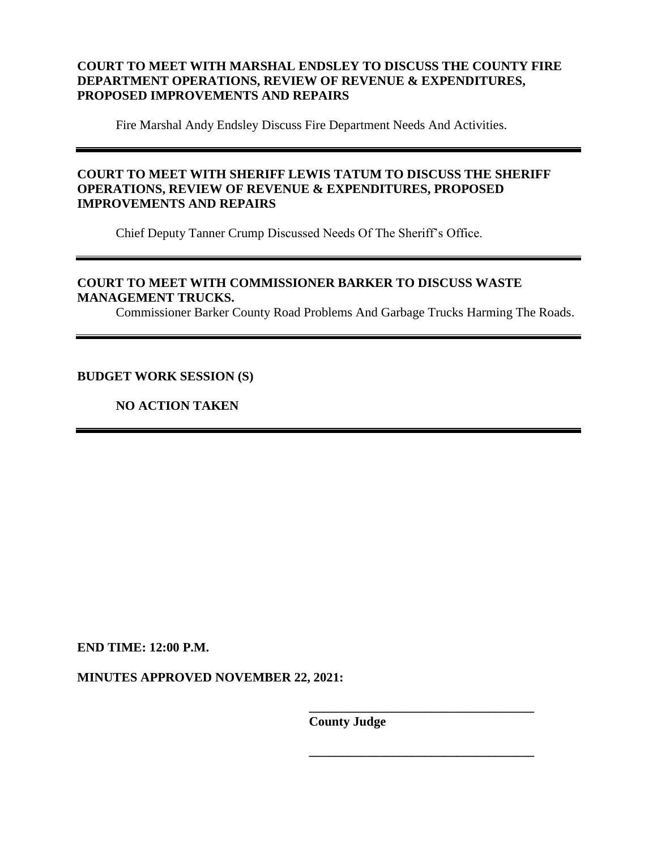# **COURT TO MEET WITH MARSHAL ENDSLEY TO DISCUSS THE COUNTY FIRE DEPARTMENT OPERATIONS, REVIEW OF REVENUE & EXPENDITURES, PROPOSED IMPROVEMENTS AND REPAIRS**

Fire Marshal Andy Endsley Discuss Fire Department Needs And Activities.

# **COURT TO MEET WITH SHERIFF LEWIS TATUM TO DISCUSS THE SHERIFF OPERATIONS, REVIEW OF REVENUE & EXPENDITURES, PROPOSED IMPROVEMENTS AND REPAIRS**

Chief Deputy Tanner Crump Discussed Needs Of The Sheriff's Office.

## **COURT TO MEET WITH COMMISSIONER BARKER TO DISCUSS WASTE MANAGEMENT TRUCKS.**

Commissioner Barker County Road Problems And Garbage Trucks Harming The Roads.

## **BUDGET WORK SESSION (S)**

**NO ACTION TAKEN**

**END TIME: 12:00 P.M.**

**MINUTES APPROVED NOVEMBER 22, 2021:**

**County Judge**

 **\_\_\_\_\_\_\_\_\_\_\_\_\_\_\_\_\_\_\_\_\_\_\_\_\_\_\_\_\_\_\_\_\_\_\_** 

**\_\_\_\_\_\_\_\_\_\_\_\_\_\_\_\_\_\_\_\_\_\_\_\_\_\_\_\_\_\_\_\_\_\_\_**